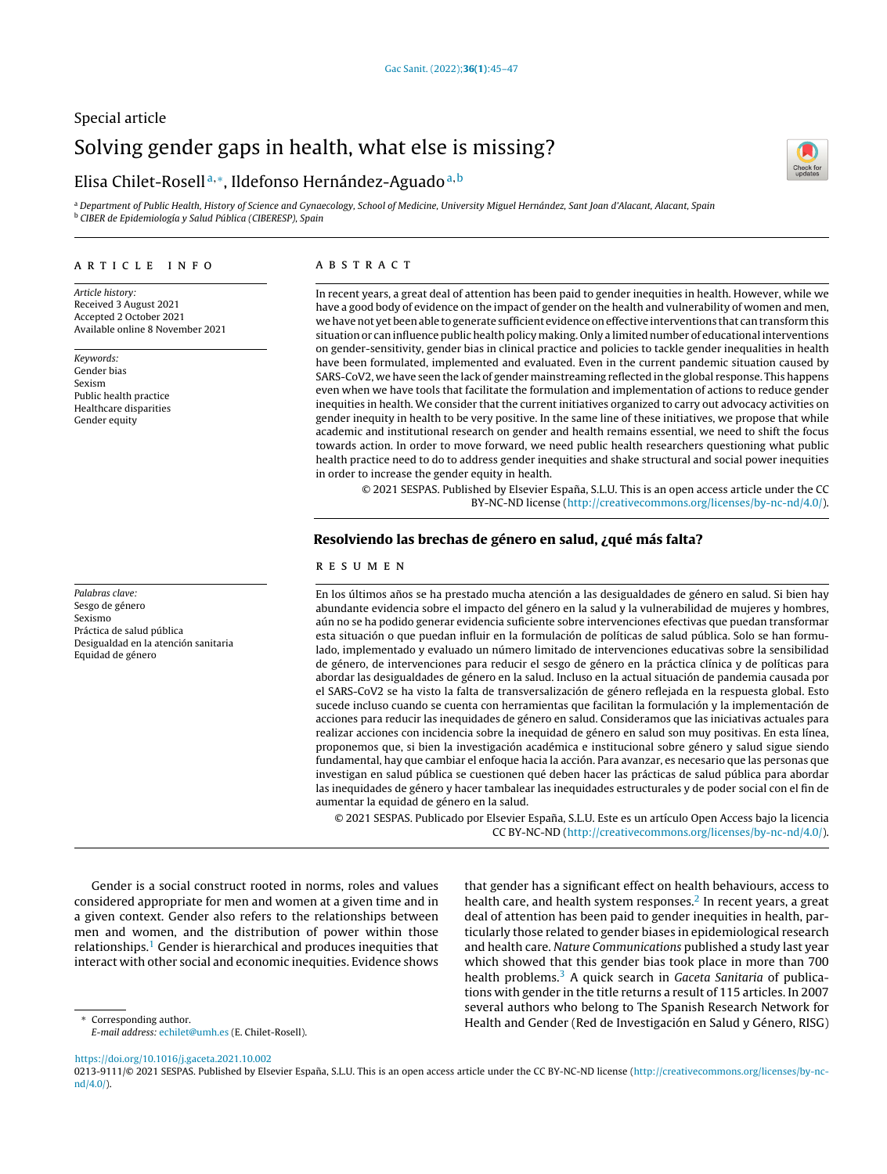# Special article Solving gender gaps in health, what else is missing?

# Elisa Chilet-Rosellª,\*, Ildefonso Hernández-Aguadoª,b

<sup>a</sup> Department of Public Health, History of Science and Gynaecology, School of Medicine, University Miguel Hernández, Sant Joan d'Alacant, Alacant, Spain <sup>b</sup> CIBER de Epidemiología y Salud Pública (CIBERESP), Spain

### a r t i c l e i n f o

Article history: Received 3 August 2021 Accepted 2 October 2021 Available online 8 November 2021

Keywords: Gender bias Sexism Public health practice Healthcare disparities Gender equity

Palabras clave: Sesgo de género Sexismo Práctica de salud pública Desigualdad en la atención sanitaria Equidad de género

## A B S T R A C T

In recent years, a great deal of attention has been paid to gender inequities in health. However, while we have a good body of evidence on the impact of gender on the health and vulnerability of women and men, we have not yet been able to generate sufficient evidence on effective interventions that can transform this situation or can influence public health policy making. Only a limited number of educational interventions on gender-sensitivity, gender bias in clinical practice and policies to tackle gender inequalities in health have been formulated, implemented and evaluated. Even in the current pandemic situation caused by SARS-CoV2, we have seen the lack of gender mainstreaming reflected in the global response. This happens even when we have tools that facilitate the formulation and implementation of actions to reduce gender inequities in health. We consider that the current initiatives organized to carry out advocacy activities on gender inequity in health to be very positive. In the same line of these initiatives, we propose that while academic and institutional research on gender and health remains essential, we need to shift the focus towards action. In order to move forward, we need public health researchers questioning what public health practice need to do to address gender inequities and shake structural and social power inequities in order to increase the gender equity in health.

© 2021 SESPAS. Published by Elsevier España, S.L.U. This is an open access article under the CC BY-NC-ND license [\(http://creativecommons.org/licenses/by-nc-nd/4.0/](http://creativecommons.org/licenses/by-nc-nd/4.0/)).

## Resolviendo las brechas de género en salud, ¿qué más falta?

#### r e s u m e n

En los últimos años se ha prestado mucha atención a las desigualdades de género en salud. Si bien hay abundante evidencia sobre el impacto del género en la salud y la vulnerabilidad de mujeres y hombres, aún no se ha podido generar evidencia suficiente sobre intervenciones efectivas que puedan transformar esta situación o que puedan influir en la formulación de políticas de salud pública. Solo se han formulado, implementado y evaluado un número limitado de intervenciones educativas sobre la sensibilidad de género, de intervenciones para reducir el sesgo de género en la práctica clínica y de políticas para abordar las desigualdades de género en la salud. Incluso en la actual situación de pandemia causada por el SARS-CoV2 se ha visto la falta de transversalización de género reflejada en la respuesta global. Esto sucede incluso cuando se cuenta con herramientas que facilitan la formulación y la implementación de acciones para reducir las inequidades de género en salud. Consideramos que las iniciativas actuales para realizar acciones con incidencia sobre la inequidad de género en salud son muy positivas. En esta línea, proponemos que, si bien la investigación académica e institucional sobre género y salud sigue siendo fundamental, hay que cambiar el enfoque hacia la acción. Para avanzar, es necesario que las personas que investigan en salud pública se cuestionen qué deben hacer las prácticas de salud pública para abordar las inequidades de género y hacer tambalear las inequidades estructurales y de poder social con el fin de aumentar la equidad de género en la salud.

© 2021 SESPAS. Publicado por Elsevier España, S.L.U. Este es un artículo Open Access bajo la licencia CC BY-NC-ND [\(http://creativecommons.org/licenses/by-nc-nd/4.0/](http://creativecommons.org/licenses/by-nc-nd/4.0/)).

Gender is a social construct rooted in norms, roles and values considered appropriate for men and women at a given time and in a given context. Gender also refers to the relationships between men and women, and the distribution of power within those relationships.<sup>[1](#page-2-0)</sup> Gender is hierarchical and produces inequities that interact with other social and economic inequities. Evidence shows

that gender has a significant effect on health behaviours, access to health care, and health system responses. $<sup>2</sup>$  $<sup>2</sup>$  $<sup>2</sup>$  In recent years, a great</sup> deal of attention has been paid to gender inequities in health, particularly those related to gender biases in epidemiological research and health care. Nature Communications published a study last year which showed that this gender bias took place in more than 700 health problems.<sup>[3](#page-2-0)</sup> A quick search in Gaceta Sanitaria of publications with gender in the title returns a result of 115 articles. In 2007 several authors who belong to The Spanish Research Network for Health and Gender (Red de Investigación en Salud y Género, RISG)

Corresponding author.

E-mail address: [echilet@umh.es](mailto:echilet@umh.es) (E. Chilet-Rosell).

<https://doi.org/10.1016/j.gaceta.2021.10.002>

0213-9111/© 2021 SESPAS. Published by Elsevier España, S.L.U. This is an open access article under the CC BY-NC-ND license [\(http://creativecommons.org/licenses/by-nc](http://creativecommons.org/licenses/by-nc-nd/4.0/)[nd/4.0/\)](http://creativecommons.org/licenses/by-nc-nd/4.0/).

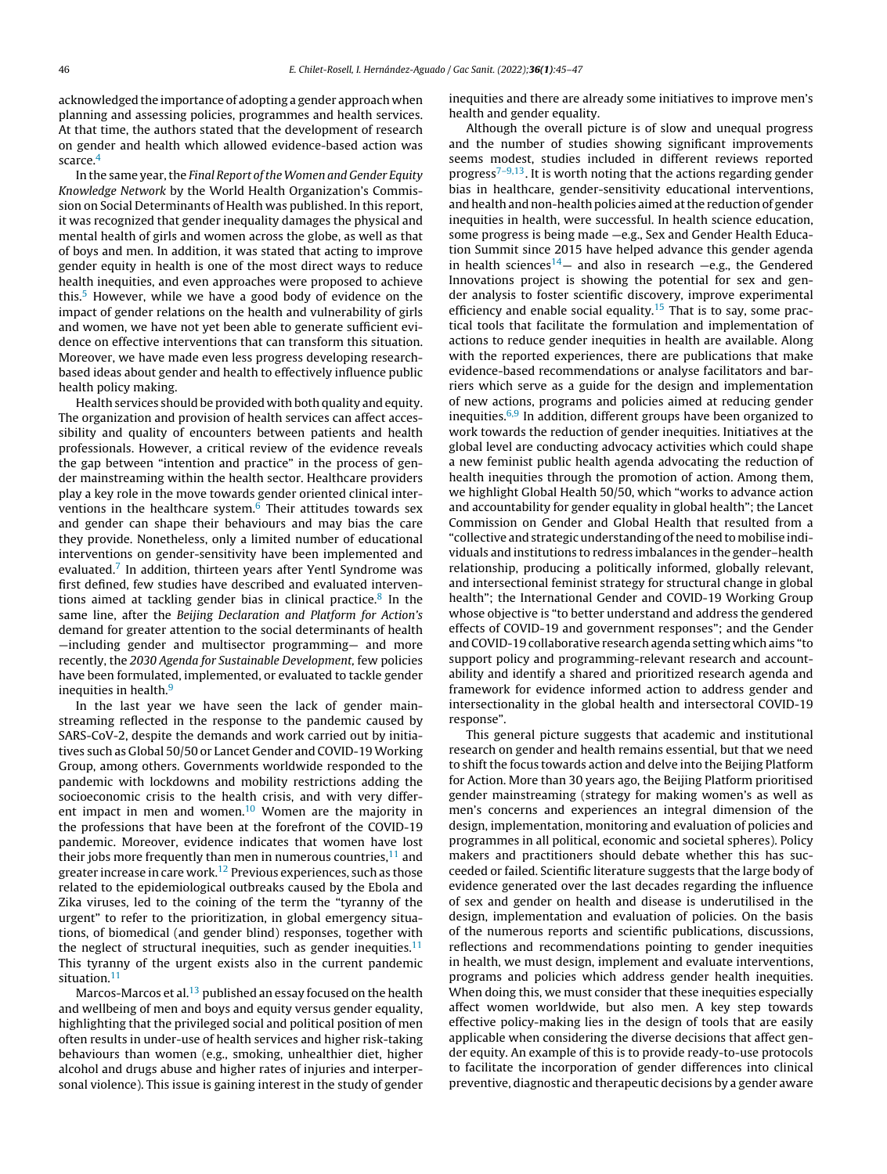acknowledged the importance of adopting a gender approach when planning and assessing policies, programmes and health services. At that time, the authors stated that the development of research on gender and health which allowed evidence-based action was scarce.<sup>[4](#page-2-0)</sup>

In the same year, the Final Report of the Women and Gender Equity Knowledge Network by the World Health Organization's Commission on Social Determinants of Health was published. In this report, it was recognized that gender inequality damages the physical and mental health of girls and women across the globe, as well as that of boys and men. In addition, it was stated that acting to improve gender equity in health is one of the most direct ways to reduce health inequities, and even approaches were proposed to achieve this.<sup>[5](#page-2-0)</sup> However, while we have a good body of evidence on the impact of gender relations on the health and vulnerability of girls and women, we have not yet been able to generate sufficient evidence on effective interventions that can transform this situation. Moreover, we have made even less progress developing researchbased ideas about gender and health to effectively influence public health policy making.

Health services should be provided with both quality and equity. The organization and provision of health services can affect accessibility and quality of encounters between patients and health professionals. However, a critical review of the evidence reveals the gap between "intention and practice" in the process of gender mainstreaming within the health sector. Healthcare providers play a key role in the move towards gender oriented clinical interventions in the healthcare system. $6$  Their attitudes towards sex and gender can shape their behaviours and may bias the care they provide. Nonetheless, only a limited number of educational interventions on gender-sensitivity have been implemented and evaluated.<sup>[7](#page-2-0)</sup> In addition, thirteen years after Yentl Syndrome was first defined, few studies have described and evaluated interven-tions aimed at tackling gender bias in clinical practice.<sup>[8](#page-2-0)</sup> In the same line, after the Beijing Declaration and Platform for Action's demand for greater attention to the social determinants of health —including gender and multisector programming— and more recently, the 2030 Agenda for Sustainable Development, few policies have been formulated, implemented, or evaluated to tackle gender inequities in health.<sup>[9](#page-2-0)</sup>

In the last year we have seen the lack of gender mainstreaming reflected in the response to the pandemic caused by SARS-CoV-2, despite the demands and work carried out by initiatives such as Global 50/50 or Lancet Gender and COVID-19 Working Group, among others. Governments worldwide responded to the pandemic with lockdowns and mobility restrictions adding the socioeconomic crisis to the health crisis, and with very differ-ent impact in men and women.<sup>[10](#page-2-0)</sup> Women are the majority in the professions that have been at the forefront of the COVID-19 pandemic. Moreover, evidence indicates that women have lost their jobs more frequently than men in numerous countries, $<sup>11</sup>$  $<sup>11</sup>$  $<sup>11</sup>$  and</sup> greater increase in care work.<sup>[12](#page-2-0)</sup> Previous experiences, such as those related to the epidemiological outbreaks caused by the Ebola and Zika viruses, led to the coining of the term the "tyranny of the urgent" to refer to the prioritization, in global emergency situations, of biomedical (and gender blind) responses, together with the neglect of structural inequities, such as gender inequities. $11$ This tyranny of the urgent exists also in the current pandemic situation.<sup>[11](#page-2-0)</sup>

Marcos-Marcos et al.<sup>[13](#page-2-0)</sup> published an essay focused on the health and wellbeing of men and boys and equity versus gender equality, highlighting that the privileged social and political position of men often results in under-use of health services and higher risk-taking behaviours than women (e.g., smoking, unhealthier diet, higher alcohol and drugs abuse and higher rates of injuries and interpersonal violence). This issue is gaining interest in the study of gender inequities and there are already some initiatives to improve men's health and gender equality.

Although the overall picture is of slow and unequal progress and the number of studies showing significant improvements seems modest, studies included in different reviews reported progress<sup>[7–9,13](#page-2-0)</sup>. It is worth noting that the actions regarding gender bias in healthcare, gender-sensitivity educational interventions, and health and non-health policies aimed at the reduction of gender inequities in health, were successful. In health science education, some progress is being made —e.g., Sex and Gender Health Education Summit since 2015 have helped advance this gender agenda in health sciences<sup>[14](#page-2-0)</sup> — and also in research  $-e.g.,$  the Gendered Innovations project is showing the potential for sex and gender analysis to foster scientific discovery, improve experimental efficiency and enable social equality.<sup>[15](#page-2-0)</sup> That is to say, some practical tools that facilitate the formulation and implementation of actions to reduce gender inequities in health are available. Along with the reported experiences, there are publications that make evidence-based recommendations or analyse facilitators and barriers which serve as a guide for the design and implementation of new actions, programs and policies aimed at reducing gender inequities.<sup>[6,9](#page-2-0)</sup> In addition, different groups have been organized to work towards the reduction of gender inequities. Initiatives at the global level are conducting advocacy activities which could shape a new feminist public health agenda advocating the reduction of health inequities through the promotion of action. Among them, we highlight Global Health 50/50, which "works to advance action and accountability for gender equality in global health"; the Lancet Commission on Gender and Global Health that resulted from a "collective and strategic understanding ofthe need tomobilise individuals and institutions to redress imbalances in the gender–health relationship, producing a politically informed, globally relevant, and intersectional feminist strategy for structural change in global health"; the International Gender and COVID-19 Working Group whose objective is "to better understand and address the gendered effects of COVID-19 and government responses"; and the Gender and COVID-19 collaborative research agenda setting which aims "to support policy and programming-relevant research and accountability and identify a shared and prioritized research agenda and framework for evidence informed action to address gender and intersectionality in the global health and intersectoral COVID-19 response".

This general picture suggests that academic and institutional research on gender and health remains essential, but that we need to shift the focus towards action and delve into the Beijing Platform for Action. More than 30 years ago, the Beijing Platform prioritised gender mainstreaming (strategy for making women's as well as men's concerns and experiences an integral dimension of the design, implementation, monitoring and evaluation of policies and programmes in all political, economic and societal spheres). Policy makers and practitioners should debate whether this has succeeded or failed. Scientific literature suggests that the large body of evidence generated over the last decades regarding the influence of sex and gender on health and disease is underutilised in the design, implementation and evaluation of policies. On the basis of the numerous reports and scientific publications, discussions, reflections and recommendations pointing to gender inequities in health, we must design, implement and evaluate interventions, programs and policies which address gender health inequities. When doing this, we must consider that these inequities especially affect women worldwide, but also men. A key step towards effective policy-making lies in the design of tools that are easily applicable when considering the diverse decisions that affect gender equity. An example of this is to provide ready-to-use protocols to facilitate the incorporation of gender differences into clinical preventive, diagnostic and therapeutic decisions by a gender aware